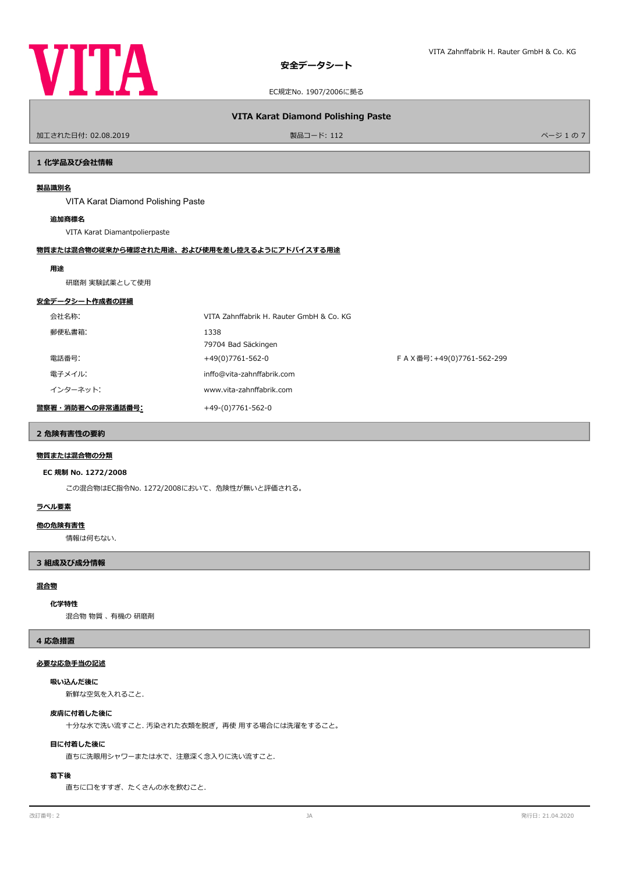

# **VITA Karat Diamond Polishing Paste**

ールエされた日付: 02.08.2019 しかい インター・シーク かんこう かんこう かんこうしょう 製品コード: 112 レーダー かんこうしゅう かんこう かんこう パージ 1 の 7

# **1 化学品及び会社情報**

# **製品識別名**

VITA Karat Diamond Polishing Paste

# **追加商標名**

VITA Karat Diamantpolierpaste

#### **物質または混合物の従来から確認された用途、および使用を差し控えるようにアドバイスする用途**

#### **用途**

研磨剤 実験試薬として使用

## **安全データシート作成者の詳細**

| 会社名称:            | VITA Zahnffabrik H. Rauter GmbH & Co. KG |                           |
|------------------|------------------------------------------|---------------------------|
| 郵便私書箱:           | 1338                                     |                           |
|                  | 79704 Bad Säckingen                      |                           |
| 電話番号:            | +49(0)7761-562-0                         | FAX番号: +49(0)7761-562-299 |
| 電子メイル:           | inffo@vita-zahnffabrik.com               |                           |
| インターネット:         | www.vita-zahnffabrik.com                 |                           |
| 警察署・消防署への非常通話番号: | +49-(0)7761-562-0                        |                           |

# **2 危険有害性の要約**

## **物質または混合物の分類**

#### **EC 規制 No. 1272/2008**

この混合物はEC指令No. 1272/2008において、危険性が無いと評価される。

## **ラベル要素**

#### **他の危険有害性**

情報は何もない.

#### **3 組成及び成分情報**

# **混合物**

#### **化学特性**

混合物 物質 、 有機の 研磨剤

#### **4 応急措置**

#### **必要な応急手当の記述**

## **吸い込んだ後に**

新鮮な空気を入れること.

#### **皮膚に付着した後に**

十分な水で洗い流すこと. 汚染された衣類を脱ぎ,再使 用する場合には洗濯をすること。

#### **目に付着した後に**

直ちに洗眼用シャワーまたは水で、注意深く念入りに洗い流すこと.

# **葛下後**

直ちに口をすすぎ、たくさんの水を飲むこと.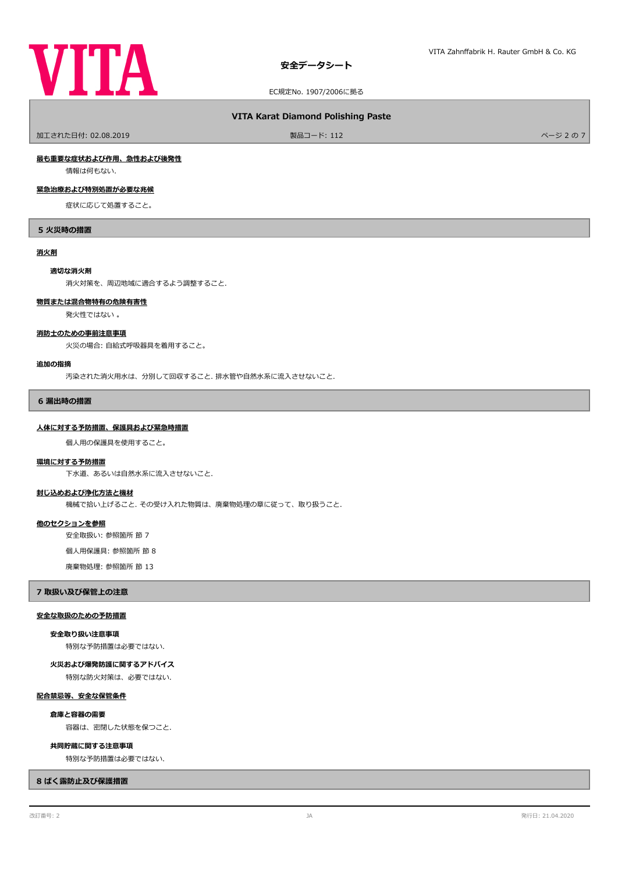

#### **VITA Karat Diamond Polishing Paste**

- 加工された日付: 02.08.2019 - インディング・コンピュート: 112 - インディング・コンピュート: 112 - インディング・コンピュート: 112 - インジェクス - インジェクス - インジェクス

# **最も重要な症状および作用、急性および後発性**

情報は何もない.

# **緊急治療および特別処置が必要な兆候**

症状に応じて処置すること。

#### **5 火災時の措置**

#### **消火剤**

#### **適切な消火剤**

消火対策を、周辺地域に適合するよう調整すること.

#### **物質または混合物特有の危険有害性**

発火性ではない 。

## **消防士のための事前注意事項**

火災の場合: 自給式呼吸器具を着用すること。

#### **追加の指摘**

汚染された消火用水は、分別して回収すること. 排水管や自然水系に流入させないこと.

#### **6 漏出時の措置**

#### **人体に対する予防措置、保護具および緊急時措置**

個人用の保護具を使用すること。

#### **環境に対する予防措置**

下水道、あるいは自然水系に流入させないこと.

# **封じ込めおよび浄化方法と機材**

機械で拾い上げること. その受け入れた物質は、廃棄物処理の章に従って、取り扱うこと.

#### **他のセクションを参照**

安全取扱い: 参照箇所 節 7

個人用保護具: 参照箇所 節 8

廃棄物処理: 参照箇所 節 13

#### **7 取扱い及び保管上の注意**

#### **安全な取扱のための予防措置**

#### **安全取り扱い注意事項**

特別な予防措置は必要ではない.

特別な防火対策は、必要ではない. **火災および爆発防護に関するアドバイス**

## **配合禁忌等、安全な保管条件**

**倉庫と容器の需要**

容器は、密閉した状態を保つこと.

#### **共同貯蔵に関する注意事項**

特別な予防措置は必要ではない.

## **8 ばく露防止及び保護措置**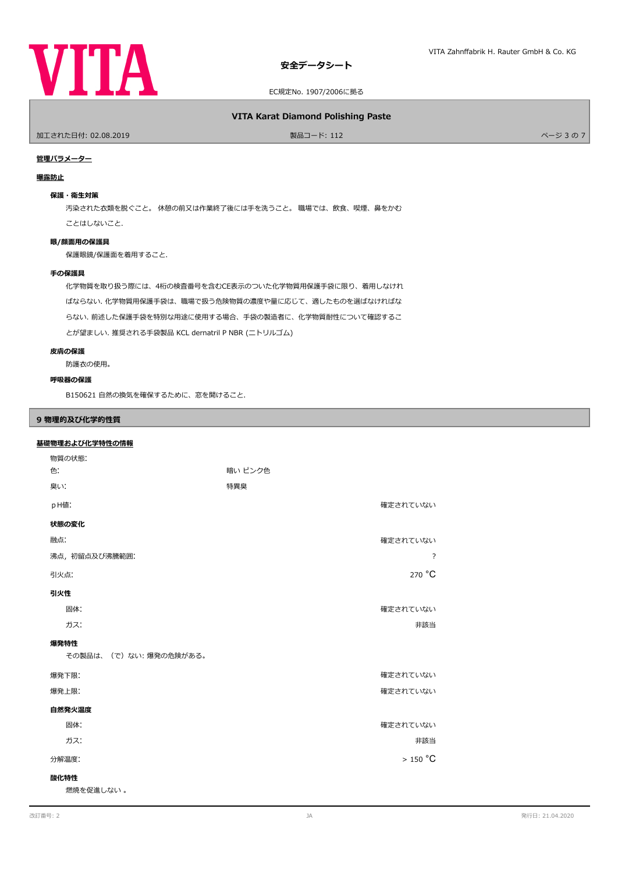

## **VITA Karat Diamond Polishing Paste**

ールエされた日付: 02.08.2019 しかい インター・シーク かんこう かんこう 製品コード: 112 しかい インター・ファイル アメリカ バージ 3 の 7 しかい ページ 3 の 7

## **管理パラメーター**

#### **曝露防止**

## **保護・衛生対策**

汚染された衣類を脱ぐこと。 休憩の前又は作業終了後には手を洗うこと。 職場では、飲食、喫煙、鼻をかむ ことはしないこと.

# **眼/顔面用の保護具**

保護眼鏡/保護面を着用すること.

#### **手の保護具**

化学物質を取り扱う際には、4桁の検査番号を含むCE表示のついた化学物質用保護手袋に限り、着用しなけれ ばならない. 化学物質用保護手袋は、職場で扱う危険物質の濃度や量に応じて、適したものを選ばなければな らない. 前述した保護手袋を特別な用途に使用する場合、手袋の製造者に、化学物質耐性について確認するこ とが望ましい. 推奨される手袋製品 KCL dernatril P NBR (ニトリルゴム)

#### **皮膚の保護**

防護衣の使用。

#### **呼吸器の保護**

B150621 自然の換気を確保するために、窓を開けること.

# **9 物理的及び化学的性質**

# **基礎物理および化学特性の情報**

| 物質の状態:                |          |  |  |  |
|-----------------------|----------|--|--|--|
| 色:                    | 暗い ピンク色  |  |  |  |
| 臭い:                   | 特異臭      |  |  |  |
| pH値:                  | 確定されていない |  |  |  |
| 状態の変化                 |          |  |  |  |
| 融点:                   | 確定されていない |  |  |  |
| 沸点, 初留点及び沸騰範囲:<br>?   |          |  |  |  |
| 引火点:                  | 270 °C   |  |  |  |
| 引火性                   |          |  |  |  |
| 固体:                   | 確定されていない |  |  |  |
| ガス:                   | 非該当      |  |  |  |
| 爆発特性                  |          |  |  |  |
| その製品は、(で)ない:爆発の危険がある。 |          |  |  |  |
| 爆発下限:                 | 確定されていない |  |  |  |
| 爆発上限:                 | 確定されていない |  |  |  |
| 自然発火温度                |          |  |  |  |
| 固体:                   | 確定されていない |  |  |  |
| ガス:                   | 非該当      |  |  |  |
| $>150$ °C<br>分解温度:    |          |  |  |  |
| 酸化特性                  |          |  |  |  |
| 燃焼を促進しない。             |          |  |  |  |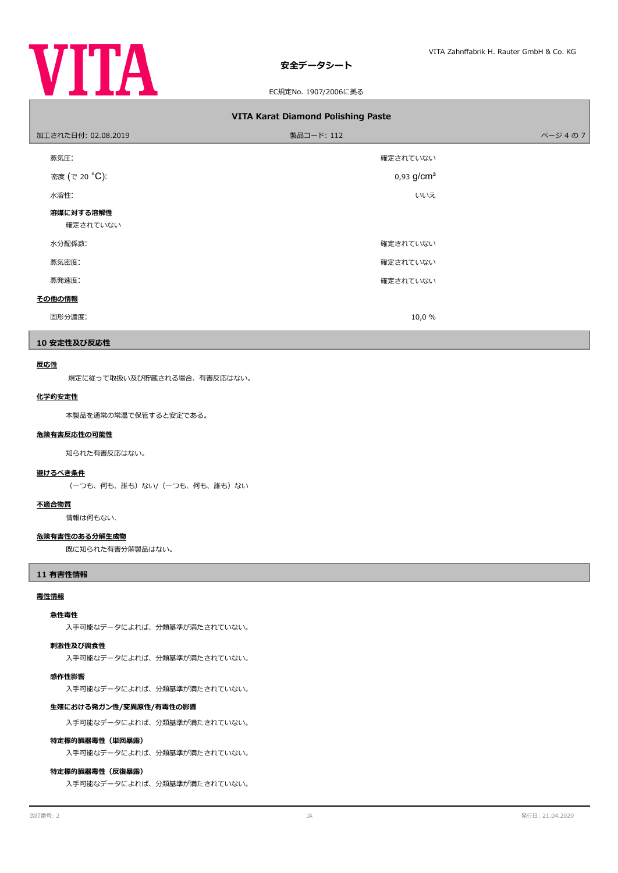

# **安全データシート**

#### EC規定No. 1907/2006に拠る

| <b>VITA Karat Diamond Polishing Paste</b> |                          |        |  |  |  |
|-------------------------------------------|--------------------------|--------|--|--|--|
| 加工された日付: 02.08.2019                       | 製品コード: 112               | ページ4の7 |  |  |  |
| 蒸気圧:                                      | 確定されていない                 |        |  |  |  |
| 密度 (で 20 °C):                             | $0,93$ g/cm <sup>3</sup> |        |  |  |  |
| 水溶性:                                      | いいえ                      |        |  |  |  |
| 溶媒に対する溶解性<br>確定されていない                     |                          |        |  |  |  |
| 水分配係数:                                    | 確定されていない                 |        |  |  |  |
| 蒸気密度:                                     | 確定されていない                 |        |  |  |  |
| 蒸発速度:                                     | 確定されていない                 |        |  |  |  |
| その他の情報                                    |                          |        |  |  |  |
| 固形分濃度:                                    | 10,0 %                   |        |  |  |  |

## **10 安定性及び反応性**

# **反応性**

規定に従って取扱い及び貯蔵される場合、有害反応はない。

# **化学的安定性**

本製品を通常の常温で保管すると安定である。

#### **危険有害反応性の可能性**

知られた有害反応はない。

#### **避けるべき条件**

(一つも、何も、誰も)ない/(一つも、何も、誰も)ない

# **不適合物質**

情報は何もない.

## **危険有害性のある分解生成物**

既に知られた有害分解製品はない。

## **11 有害性情報**

#### **毒性情報**

## **急性毒性**

入手可能なデータによれば、分類基準が満たされていない。

## **刺激性及び腐食性**

入手可能なデータによれば、分類基準が満たされていない。

## **感作性影響**

入手可能なデータによれば、分類基準が満たされていない。

#### **生殖における発ガン性/変異原性/有毒性の影響**

入手可能なデータによれば、分類基準が満たされていない。

#### **特定標的臓器毒性(単回暴露)**

入手可能なデータによれば、分類基準が満たされていない。

## **特定標的臓器毒性(反復暴露)**

入手可能なデータによれば、分類基準が満たされていない。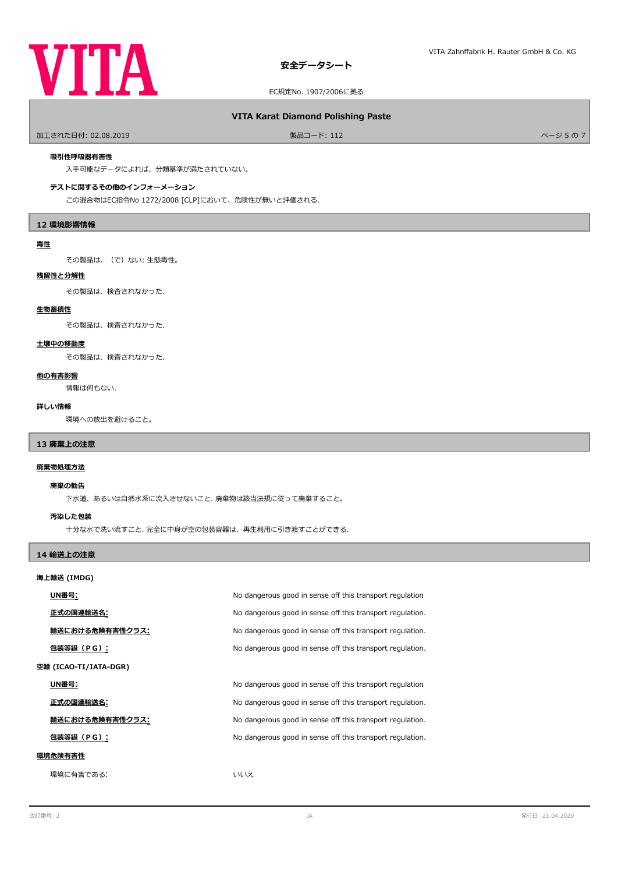

# **安全データシート**

EC規定No. 1907/2006に拠る

## **VITA Karat Diamond Polishing Paste**

- 加工された日付: 02.08.2019 - アンディング・コンピュート: 112 - アンディング・コンピュート: 112 - アンディング・コンピュート: 112 - アンディング・コンピュート: 112 - アンディング・コンピュート: 112 - アンディング・コンピュート: 112 - アンディング・コンピュート: 112 - アンディング・コンピュート: 112 - アンディング・コンピュート: 112 - アンディング

#### **吸引性呼吸器有害性**

入手可能なデータによれば、分類基準が満たされていない。

## **テストに関するその他のインフォーメーション**

この混合物はEC指令No 1272/2008 [CLP]において、危険性が無いと評価される.

#### **12 環境影響情報**

#### **毒性**

その製品は、(で)ない: 生態毒性。

#### **残留性と分解性**

その製品は、検査されなかった.

#### **生物蓄積性**

その製品は、検査されなかった.

## **土壌中の移動度**

その製品は、検査されなかった.

#### **他の有害影響**

情報は何もない.

#### **詳しい情報**

環境への放出を避けること。

## **13 廃棄上の注意**

#### **廃棄物処理方法**

#### **廃棄の勧告**

下水道、あるいは自然水系に流入させないこと. 廃棄物は該当法規に従って廃棄すること。

## **汚染した包装**

十分な水で洗い流すこと. 完全に中身が空の包装容器は、再生利用に引き渡すことができる.

## **14 輸送上の注意**

#### **海上輸送 (IMDG)**

|                       | UN番号:           | No dangerous good in sense off this transport regulation  |  |
|-----------------------|-----------------|-----------------------------------------------------------|--|
|                       | 正式の国連輸送名:       | No dangerous good in sense off this transport regulation. |  |
|                       | 輸送における危険有害性クラス: | No dangerous good in sense off this transport regulation. |  |
|                       | 包装等級(PG):       | No dangerous good in sense off this transport regulation. |  |
| 空輸 (ICAO-TI/IATA-DGR) |                 |                                                           |  |
|                       | UN番号:           | No dangerous good in sense off this transport regulation  |  |
|                       | 正式の国連輸送名:       | No dangerous good in sense off this transport regulation. |  |
|                       | 輸送における危険有害性クラス: | No dangerous good in sense off this transport regulation. |  |
|                       | 包装等級(PG):       | No dangerous good in sense off this transport regulation. |  |
| 環境危険有害性               |                 |                                                           |  |
|                       | 環境に有害である:       | いいえ                                                       |  |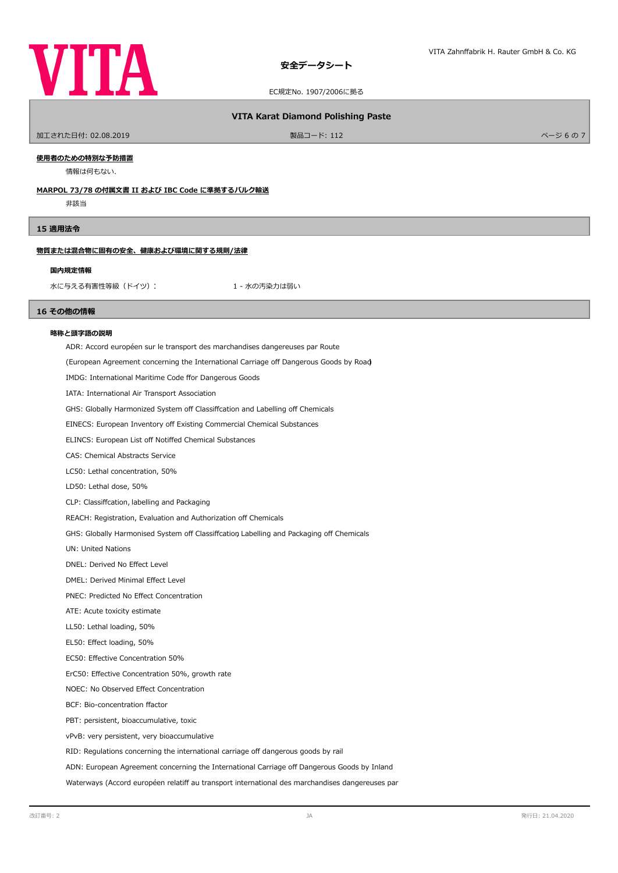

#### **VITA Karat Diamond Polishing Paste**

加工された日付: 02.08.2019 製品コード: 112 ページ 6 の 7

#### **使用者のための特別な予防措置**

情報は何もない.

#### **MARPOL 73/78 の付属文書 II および IBC Code に準拠するバルク輸送**

非該当

# **15 適用法令**

#### **物質または混合物に固有の安全、健康および環境に関する規則/法律**

#### **国内規定情報**

水に与える有害性等級 (ドイツ): カンチャング インボン 1 - 水の汚染力は弱い

#### **16 その他の情報**

#### **略称と頭字語の説明**

ADR: Accord européen sur le transport des marchandises dangereuses par Route

(European Agreement concerning the International Carriage off Dangerous Goods by Road)

IMDG: International Maritime Code ffor Dangerous Goods

IATA: International Air Transport Association

GHS: Globally Harmonized System off Classiffcation and Labelling off Chemicals

EINECS: European Inventory off Existing Commercial Chemical Substances

ELINCS: European List off Notiffed Chemical Substances

CAS: Chemical Abstracts Service

LC50: Lethal concentration, 50%

LD50: Lethal dose, 50%

CLP: Classifcation, labelling and Packaging

REACH: Registration, Evaluation and Authorization off Chemicals

GHS: Globally Harmonised System off Classiffcation Labelling and Packaging off Chemicals

UN: United Nations

DNEL: Derived No Efect Level

DMEL: Derived Minimal Efect Level

PNEC: Predicted No Efect Concentration

ATE: Acute toxicity estimate

LL50: Lethal loading, 50%

EL50: Efect loading, 50%

EC50: Efective Concentration 50%

ErC50: Efective Concentration 50%, growth rate

NOEC: No Observed Efect Concentration

BCF: Bio-concentration factor

PBT: persistent, bioaccumulative, toxic

vPvB: very persistent, very bioaccumulative

RID: Regulations concerning the international carriage off dangerous goods by rail

ADN: European Agreement concerning the International Carriage off Dangerous Goods by Inland

Waterways (Accord européen relatiff au transport international des marchandises dangereuses par